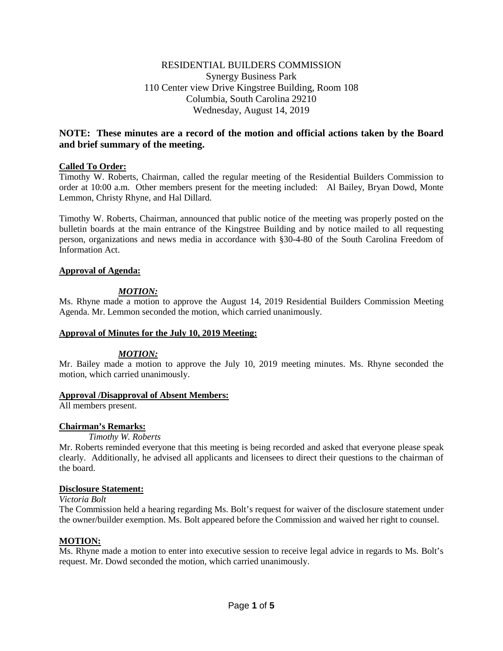# RESIDENTIAL BUILDERS COMMISSION Synergy Business Park 110 Center view Drive Kingstree Building, Room 108 Columbia, South Carolina 29210 Wednesday, August 14, 2019

# **NOTE: These minutes are a record of the motion and official actions taken by the Board and brief summary of the meeting.**

## **Called To Order:**

Timothy W. Roberts, Chairman, called the regular meeting of the Residential Builders Commission to order at 10:00 a.m. Other members present for the meeting included: Al Bailey, Bryan Dowd, Monte Lemmon, Christy Rhyne, and Hal Dillard.

Timothy W. Roberts, Chairman, announced that public notice of the meeting was properly posted on the bulletin boards at the main entrance of the Kingstree Building and by notice mailed to all requesting person, organizations and news media in accordance with §30-4-80 of the South Carolina Freedom of Information Act.

## **Approval of Agenda:**

# *MOTION:*

Ms. Rhyne made a motion to approve the August 14, 2019 Residential Builders Commission Meeting Agenda. Mr. Lemmon seconded the motion, which carried unanimously.

## **Approval of Minutes for the July 10, 2019 Meeting:**

## *MOTION:*

Mr. Bailey made a motion to approve the July 10, 2019 meeting minutes. Ms. Rhyne seconded the motion, which carried unanimously.

## **Approval /Disapproval of Absent Members:**

All members present.

# **Chairman's Remarks:**

## *Timothy W. Roberts*

Mr. Roberts reminded everyone that this meeting is being recorded and asked that everyone please speak clearly. Additionally, he advised all applicants and licensees to direct their questions to the chairman of the board.

## **Disclosure Statement:**

### *Victoria Bolt*

The Commission held a hearing regarding Ms. Bolt's request for waiver of the disclosure statement under the owner/builder exemption. Ms. Bolt appeared before the Commission and waived her right to counsel.

## **MOTION:**

Ms. Rhyne made a motion to enter into executive session to receive legal advice in regards to Ms. Bolt's request. Mr. Dowd seconded the motion, which carried unanimously.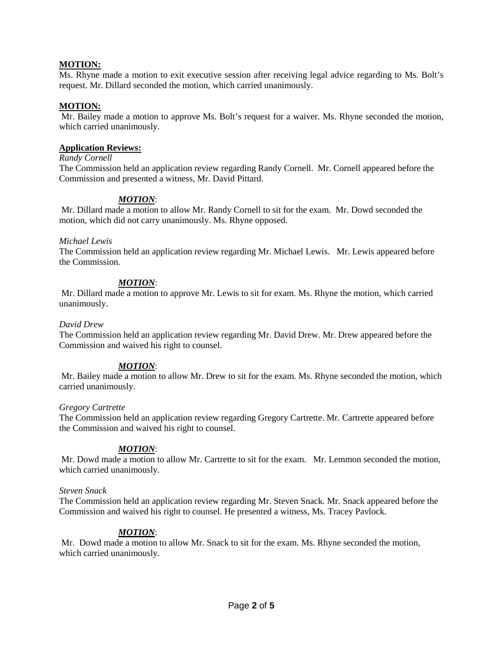## **MOTION:**

Ms. Rhyne made a motion to exit executive session after receiving legal advice regarding to Ms. Bolt's request. Mr. Dillard seconded the motion, which carried unanimously.

## **MOTION:**

Mr. Bailey made a motion to approve Ms. Bolt's request for a waiver. Ms. Rhyne seconded the motion, which carried unanimously.

### **Application Reviews:**

## *Randy Cornell*

The Commission held an application review regarding Randy Cornell. Mr. Cornell appeared before the Commission and presented a witness, Mr. David Pittard.

## *MOTION*:

Mr. Dillard made a motion to allow Mr. Randy Cornell to sit for the exam. Mr. Dowd seconded the motion, which did not carry unanimously. Ms. Rhyne opposed.

#### *Michael Lewis*

The Commission held an application review regarding Mr. Michael Lewis. Mr. Lewis appeared before the Commission.

## *MOTION*:

Mr. Dillard made a motion to approve Mr. Lewis to sit for exam. Ms. Rhyne the motion, which carried unanimously.

### *David Drew*

The Commission held an application review regarding Mr. David Drew. Mr. Drew appeared before the Commission and waived his right to counsel.

## *MOTION*:

Mr. Bailey made a motion to allow Mr. Drew to sit for the exam. Ms. Rhyne seconded the motion, which carried unanimously.

## *Gregory Cartrette*

The Commission held an application review regarding Gregory Cartrette. Mr. Cartrette appeared before the Commission and waived his right to counsel.

## *MOTION*:

Mr. Dowd made a motion to allow Mr. Cartrette to sit for the exam. Mr. Lemmon seconded the motion, which carried unanimously.

#### *Steven Snack*

The Commission held an application review regarding Mr. Steven Snack. Mr. Snack appeared before the Commission and waived his right to counsel. He presented a witness, Ms. Tracey Pavlock.

## *MOTION*:

Mr. Dowd made a motion to allow Mr. Snack to sit for the exam. Ms. Rhyne seconded the motion, which carried unanimously.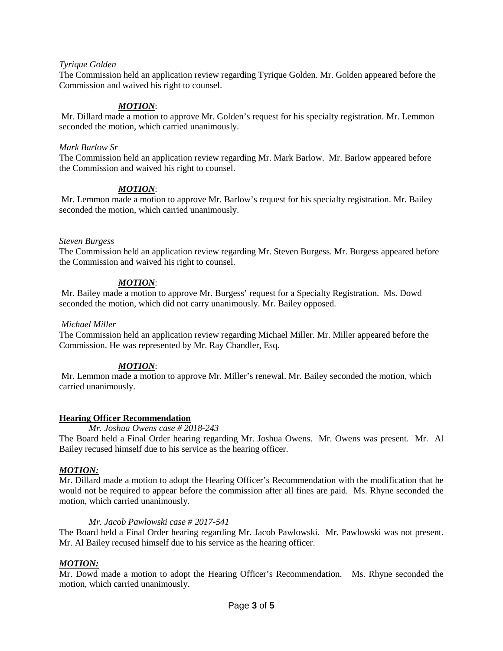## *Tyrique Golden*

The Commission held an application review regarding Tyrique Golden. Mr. Golden appeared before the Commission and waived his right to counsel.

## *MOTION*:

Mr. Dillard made a motion to approve Mr. Golden's request for his specialty registration. Mr. Lemmon seconded the motion, which carried unanimously.

#### *Mark Barlow Sr*

The Commission held an application review regarding Mr. Mark Barlow. Mr. Barlow appeared before the Commission and waived his right to counsel.

## *MOTION*:

Mr. Lemmon made a motion to approve Mr. Barlow's request for his specialty registration. Mr. Bailey seconded the motion, which carried unanimously.

## *Steven Burgess*

The Commission held an application review regarding Mr. Steven Burgess. Mr. Burgess appeared before the Commission and waived his right to counsel.

## *MOTION*:

Mr. Bailey made a motion to approve Mr. Burgess' request for a Specialty Registration. Ms. Dowd seconded the motion, which did not carry unanimously. Mr. Bailey opposed.

#### *Michael Miller*

The Commission held an application review regarding Michael Miller. Mr. Miller appeared before the Commission. He was represented by Mr. Ray Chandler, Esq.

## *MOTION*:

Mr. Lemmon made a motion to approve Mr. Miller's renewal. Mr. Bailey seconded the motion, which carried unanimously.

## **Hearing Officer Recommendation**

#### *Mr. Joshua Owens case # 2018-243*

The Board held a Final Order hearing regarding Mr. Joshua Owens. Mr. Owens was present. Mr. Al Bailey recused himself due to his service as the hearing officer.

## *MOTION:*

Mr. Dillard made a motion to adopt the Hearing Officer's Recommendation with the modification that he would not be required to appear before the commission after all fines are paid. Ms. Rhyne seconded the motion, which carried unanimously.

## *Mr. Jacob Pawlowski case # 2017-541*

The Board held a Final Order hearing regarding Mr. Jacob Pawlowski. Mr. Pawlowski was not present. Mr. Al Bailey recused himself due to his service as the hearing officer.

## *MOTION:*

Mr. Dowd made a motion to adopt the Hearing Officer's Recommendation. Ms. Rhyne seconded the motion, which carried unanimously.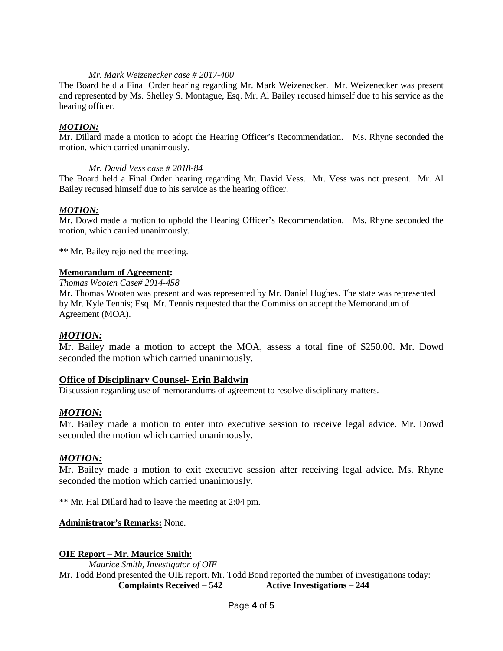### *Mr. Mark Weizenecker case # 2017-400*

The Board held a Final Order hearing regarding Mr. Mark Weizenecker. Mr. Weizenecker was present and represented by Ms. Shelley S. Montague, Esq. Mr. Al Bailey recused himself due to his service as the hearing officer.

## *MOTION:*

Mr. Dillard made a motion to adopt the Hearing Officer's Recommendation. Ms. Rhyne seconded the motion, which carried unanimously.

## *Mr. David Vess case # 2018-84*

The Board held a Final Order hearing regarding Mr. David Vess. Mr. Vess was not present. Mr. Al Bailey recused himself due to his service as the hearing officer.

## *MOTION:*

Mr. Dowd made a motion to uphold the Hearing Officer's Recommendation. Ms. Rhyne seconded the motion, which carried unanimously.

\*\* Mr. Bailey rejoined the meeting.

## **Memorandum of Agreement:**

*Thomas Wooten Case# 2014-458*

Mr. Thomas Wooten was present and was represented by Mr. Daniel Hughes. The state was represented by Mr. Kyle Tennis; Esq. Mr. Tennis requested that the Commission accept the Memorandum of Agreement (MOA).

## *MOTION:*

Mr. Bailey made a motion to accept the MOA, assess a total fine of \$250.00. Mr. Dowd seconded the motion which carried unanimously.

## **Office of Disciplinary Counsel- Erin Baldwin**

Discussion regarding use of memorandums of agreement to resolve disciplinary matters.

# *MOTION:*

Mr. Bailey made a motion to enter into executive session to receive legal advice. Mr. Dowd seconded the motion which carried unanimously.

## *MOTION:*

Mr. Bailey made a motion to exit executive session after receiving legal advice. Ms. Rhyne seconded the motion which carried unanimously.

\*\* Mr. Hal Dillard had to leave the meeting at 2:04 pm.

## **Administrator's Remarks:** None.

## **OIE Report – Mr. Maurice Smith:**

*Maurice Smith, Investigator of OIE* Mr. Todd Bond presented the OIE report. Mr. Todd Bond reported the number of investigations today: **Complaints Received – 542 Active Investigations – 244**